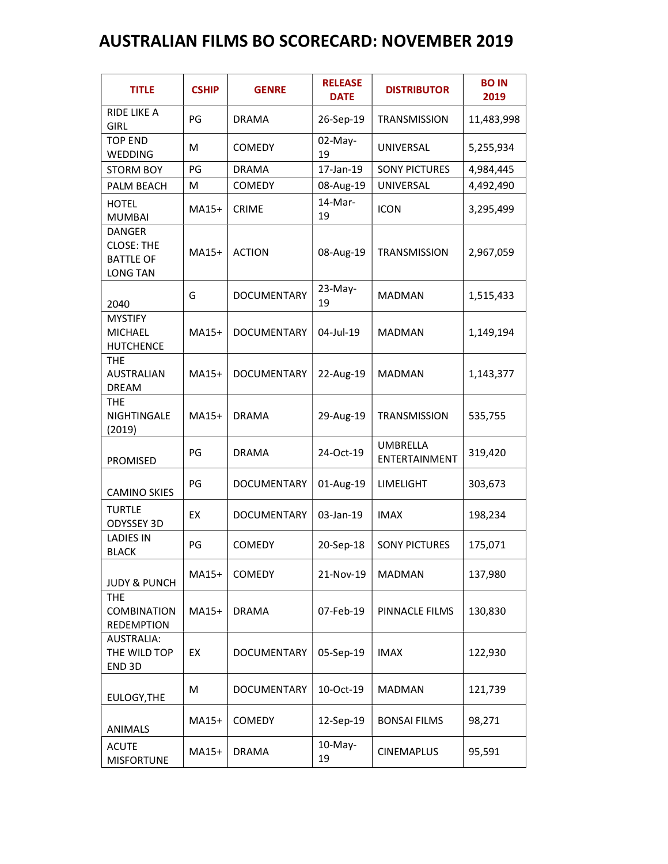## AUSTRALIAN FILMS BO SCORECARD: NOVEMBER 2019

| <b>TITLE</b>                                             | <b>CSHIP</b> | <b>GENRE</b>       | <b>RELEASE</b><br><b>DATE</b> | <b>DISTRIBUTOR</b>               | <b>BO IN</b><br>2019 |
|----------------------------------------------------------|--------------|--------------------|-------------------------------|----------------------------------|----------------------|
| <b>RIDE LIKE A</b><br><b>GIRL</b>                        | PG           | <b>DRAMA</b>       | 26-Sep-19                     | <b>TRANSMISSION</b>              | 11,483,998           |
| <b>TOP END</b><br>WEDDING                                | M            | <b>COMEDY</b>      | 02-May-<br>19                 | UNIVERSAL                        | 5,255,934            |
| <b>STORM BOY</b>                                         | PG           | <b>DRAMA</b>       | 17-Jan-19                     | <b>SONY PICTURES</b>             | 4,984,445            |
| PALM BEACH                                               | M            | COMEDY             | 08-Aug-19                     | UNIVERSAL                        | 4,492,490            |
| <b>HOTEL</b><br><b>MUMBAI</b><br><b>DANGER</b>           | MA15+        | <b>CRIME</b>       | $14-Mar-$<br>19               | <b>ICON</b>                      | 3,295,499            |
| <b>CLOSE: THE</b><br><b>BATTLE OF</b><br><b>LONG TAN</b> | MA15+        | <b>ACTION</b>      | 08-Aug-19                     | <b>TRANSMISSION</b>              | 2,967,059            |
| 2040                                                     | G            | <b>DOCUMENTARY</b> | 23-May-<br>19                 | <b>MADMAN</b>                    | 1,515,433            |
| <b>MYSTIFY</b><br><b>MICHAEL</b><br><b>HUTCHENCE</b>     | MA15+        | <b>DOCUMENTARY</b> | 04-Jul-19                     | <b>MADMAN</b>                    | 1,149,194            |
| <b>THE</b><br><b>AUSTRALIAN</b><br><b>DREAM</b>          | MA15+        | <b>DOCUMENTARY</b> | 22-Aug-19                     | <b>MADMAN</b>                    | 1,143,377            |
| <b>THE</b><br>NIGHTINGALE<br>(2019)                      | MA15+        | <b>DRAMA</b>       | 29-Aug-19                     | <b>TRANSMISSION</b>              | 535,755              |
| PROMISED                                                 | PG           | <b>DRAMA</b>       | 24-Oct-19                     | <b>UMBRELLA</b><br>ENTERTAINMENT | 319,420              |
| <b>CAMINO SKIES</b>                                      | PG           | <b>DOCUMENTARY</b> | 01-Aug-19                     | <b>LIMELIGHT</b>                 | 303,673              |
| <b>TURTLE</b><br>ODYSSEY 3D                              | EX           | <b>DOCUMENTARY</b> | 03-Jan-19                     | <b>IMAX</b>                      | 198,234              |
| <b>LADIES IN</b><br><b>BLACK</b>                         | PG           | <b>COMEDY</b>      | 20-Sep-18                     | <b>SONY PICTURES</b>             | 175,071              |
| <b>JUDY &amp; PUNCH</b>                                  | MA15+        | <b>COMEDY</b>      | 21-Nov-19                     | <b>MADMAN</b>                    | 137,980              |
| <b>THE</b><br><b>COMBINATION</b><br><b>REDEMPTION</b>    | MA15+        | <b>DRAMA</b>       | 07-Feb-19                     | PINNACLE FILMS                   | 130,830              |
| AUSTRALIA:<br>THE WILD TOP<br>END 3D                     | EX           | DOCUMENTARY        | 05-Sep-19                     | <b>IMAX</b>                      | 122,930              |
| EULOGY, THE                                              | M            | DOCUMENTARY        | 10-Oct-19                     | <b>MADMAN</b>                    | 121,739              |
| ANIMALS                                                  | MA15+        | <b>COMEDY</b>      | 12-Sep-19                     | <b>BONSAI FILMS</b>              | 98,271               |
| <b>ACUTE</b><br><b>MISFORTUNE</b>                        | MA15+        | <b>DRAMA</b>       | 10-May-<br>19                 | <b>CINEMAPLUS</b>                | 95,591               |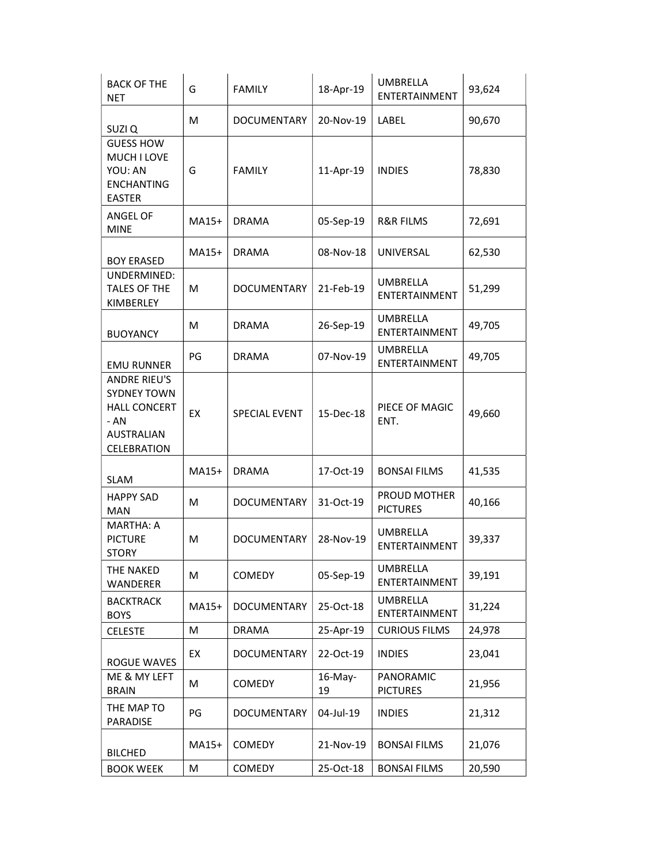| <b>BACK OF THE</b><br><b>NET</b>                                                                               | G     | <b>FAMILY</b>        | 18-Apr-19     | <b>UMBRELLA</b><br>ENTERTAINMENT | 93,624 |
|----------------------------------------------------------------------------------------------------------------|-------|----------------------|---------------|----------------------------------|--------|
| SUZI Q                                                                                                         | M     | DOCUMENTARY          | 20-Nov-19     | LABEL                            | 90,670 |
| <b>GUESS HOW</b><br>MUCH I LOVE<br>YOU: AN<br><b>ENCHANTING</b><br><b>EASTER</b>                               | G     | <b>FAMILY</b>        | 11-Apr-19     | <b>INDIES</b>                    | 78,830 |
| ANGEL OF<br><b>MINE</b>                                                                                        | MA15+ | <b>DRAMA</b>         | 05-Sep-19     | <b>R&amp;R FILMS</b>             | 72,691 |
| <b>BOY ERASED</b>                                                                                              | MA15+ | <b>DRAMA</b>         | 08-Nov-18     | UNIVERSAL                        | 62,530 |
| UNDERMINED:<br><b>TALES OF THE</b><br>KIMBERLEY                                                                | M     | <b>DOCUMENTARY</b>   | 21-Feb-19     | <b>UMBRELLA</b><br>ENTERTAINMENT | 51,299 |
| <b>BUOYANCY</b>                                                                                                | M     | <b>DRAMA</b>         | 26-Sep-19     | <b>UMBRELLA</b><br>ENTERTAINMENT | 49,705 |
| <b>EMU RUNNER</b>                                                                                              | PG    | <b>DRAMA</b>         | 07-Nov-19     | <b>UMBRELLA</b><br>ENTERTAINMENT | 49,705 |
| <b>ANDRE RIEU'S</b><br><b>SYDNEY TOWN</b><br><b>HALL CONCERT</b><br>$- AN$<br><b>AUSTRALIAN</b><br>CELEBRATION | EX    | <b>SPECIAL EVENT</b> | 15-Dec-18     | PIECE OF MAGIC<br>ENT.           | 49,660 |
| <b>SLAM</b>                                                                                                    | MA15+ | <b>DRAMA</b>         | 17-Oct-19     | <b>BONSAI FILMS</b>              | 41,535 |
| <b>HAPPY SAD</b><br><b>MAN</b>                                                                                 | M     | <b>DOCUMENTARY</b>   | 31-Oct-19     | PROUD MOTHER<br><b>PICTURES</b>  | 40,166 |
| <b>MARTHA: A</b><br><b>PICTURE</b><br><b>STORY</b>                                                             | M     | <b>DOCUMENTARY</b>   | 28-Nov-19     | <b>UMBRELLA</b><br>ENTERTAINMENT | 39,337 |
| THE NAKED<br><b>WANDERER</b>                                                                                   | M     | <b>COMEDY</b>        | 05-Sep-19     | <b>UMBRELLA</b><br>ENTERTAINMENT | 39,191 |
| <b>BACKTRACK</b><br><b>BOYS</b>                                                                                | MA15+ | <b>DOCUMENTARY</b>   | 25-Oct-18     | UMBRELLA<br>ENTERTAINMENT        | 31,224 |
| <b>CELESTE</b>                                                                                                 | M     | <b>DRAMA</b>         | 25-Apr-19     | <b>CURIOUS FILMS</b>             | 24,978 |
| <b>ROGUE WAVES</b>                                                                                             | EX    | DOCUMENTARY          | 22-Oct-19     | <b>INDIES</b>                    | 23,041 |
| ME & MY LEFT<br><b>BRAIN</b>                                                                                   | M     | <b>COMEDY</b>        | 16-May-<br>19 | PANORAMIC<br><b>PICTURES</b>     | 21,956 |
| THE MAP TO<br><b>PARADISE</b>                                                                                  | PG    | DOCUMENTARY          | 04-Jul-19     | <b>INDIES</b>                    | 21,312 |
| <b>BILCHED</b>                                                                                                 | MA15+ | <b>COMEDY</b>        | 21-Nov-19     | <b>BONSAI FILMS</b>              | 21,076 |
| <b>BOOK WEEK</b>                                                                                               | M     | <b>COMEDY</b>        | 25-Oct-18     | <b>BONSAI FILMS</b>              | 20,590 |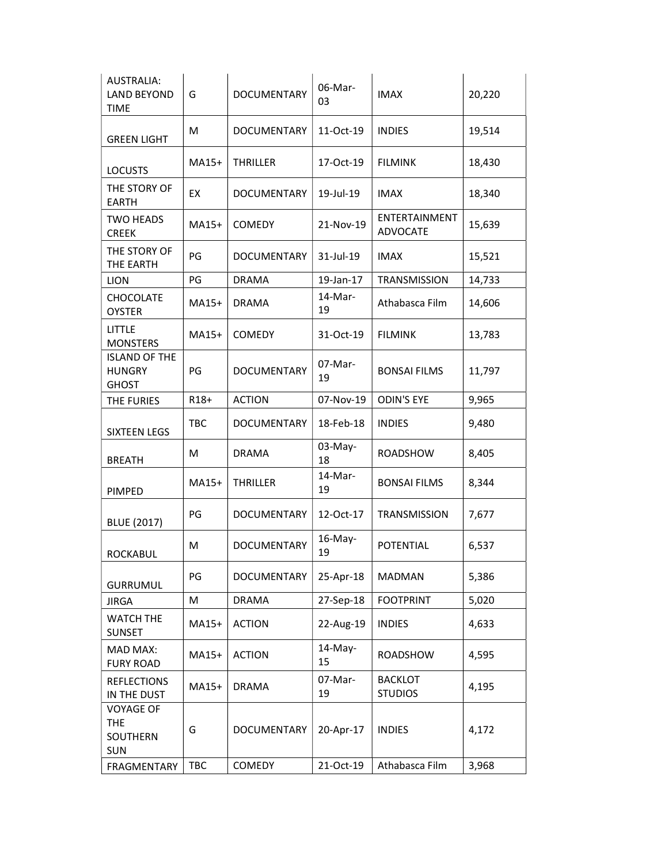| <b>AUSTRALIA:</b><br><b>LAND BEYOND</b><br><b>TIME</b> | G      | <b>DOCUMENTARY</b> | 06-Mar-<br>03 | <b>IMAX</b>                      | 20,220 |
|--------------------------------------------------------|--------|--------------------|---------------|----------------------------------|--------|
| <b>GREEN LIGHT</b>                                     | M      | <b>DOCUMENTARY</b> | 11-Oct-19     | <b>INDIES</b>                    | 19,514 |
| <b>LOCUSTS</b>                                         | MA15+  | <b>THRILLER</b>    | 17-Oct-19     | <b>FILMINK</b>                   | 18,430 |
| THE STORY OF<br><b>EARTH</b>                           | EX     | <b>DOCUMENTARY</b> | 19-Jul-19     | <b>IMAX</b>                      | 18,340 |
| <b>TWO HEADS</b><br><b>CREEK</b>                       | MA15+  | <b>COMEDY</b>      | 21-Nov-19     | ENTERTAINMENT<br><b>ADVOCATE</b> | 15,639 |
| THE STORY OF<br>THE EARTH                              | PG     | <b>DOCUMENTARY</b> | 31-Jul-19     | <b>IMAX</b>                      | 15,521 |
| <b>LION</b>                                            | PG     | <b>DRAMA</b>       | 19-Jan-17     | <b>TRANSMISSION</b>              | 14,733 |
| <b>CHOCOLATE</b><br><b>OYSTER</b>                      | MA15+  | <b>DRAMA</b>       | 14-Mar-<br>19 | Athabasca Film                   | 14,606 |
| LITTLE<br><b>MONSTERS</b>                              | MA15+  | <b>COMEDY</b>      | 31-Oct-19     | <b>FILMINK</b>                   | 13,783 |
| <b>ISLAND OF THE</b><br><b>HUNGRY</b><br><b>GHOST</b>  | PG     | <b>DOCUMENTARY</b> | 07-Mar-<br>19 | <b>BONSAI FILMS</b>              | 11,797 |
| THE FURIES                                             | $R18+$ | <b>ACTION</b>      | 07-Nov-19     | <b>ODIN'S EYE</b>                | 9,965  |
| <b>SIXTEEN LEGS</b>                                    | TBC    | <b>DOCUMENTARY</b> | 18-Feb-18     | <b>INDIES</b>                    | 9,480  |
| <b>BREATH</b>                                          | M      | <b>DRAMA</b>       | 03-May-<br>18 | <b>ROADSHOW</b>                  | 8,405  |
| PIMPED                                                 | MA15+  | <b>THRILLER</b>    | 14-Mar-<br>19 | <b>BONSAI FILMS</b>              | 8,344  |
| <b>BLUE (2017)</b>                                     | PG     | <b>DOCUMENTARY</b> | 12-Oct-17     | <b>TRANSMISSION</b>              | 7,677  |
| <b>ROCKABUL</b>                                        | M      | <b>DOCUMENTARY</b> | 16-May-<br>19 | <b>POTENTIAL</b>                 | 6,537  |
| <b>GURRUMUL</b>                                        | PG     | <b>DOCUMENTARY</b> | 25-Apr-18     | <b>MADMAN</b>                    | 5,386  |
| <b>JIRGA</b>                                           | M      | <b>DRAMA</b>       | 27-Sep-18     | <b>FOOTPRINT</b>                 | 5,020  |
| <b>WATCH THE</b><br><b>SUNSET</b>                      | MA15+  | <b>ACTION</b>      | 22-Aug-19     | <b>INDIES</b>                    | 4,633  |
| MAD MAX:<br><b>FURY ROAD</b>                           | MA15+  | <b>ACTION</b>      | 14-May-<br>15 | <b>ROADSHOW</b>                  | 4,595  |
| <b>REFLECTIONS</b><br>IN THE DUST                      | MA15+  | <b>DRAMA</b>       | 07-Mar-<br>19 | <b>BACKLOT</b><br><b>STUDIOS</b> | 4,195  |
| <b>VOYAGE OF</b><br><b>THE</b><br>SOUTHERN<br>SUN      | G      | <b>DOCUMENTARY</b> | 20-Apr-17     | <b>INDIES</b>                    | 4,172  |
| <b>FRAGMENTARY</b>                                     | TBC    | <b>COMEDY</b>      | 21-Oct-19     | Athabasca Film                   | 3,968  |